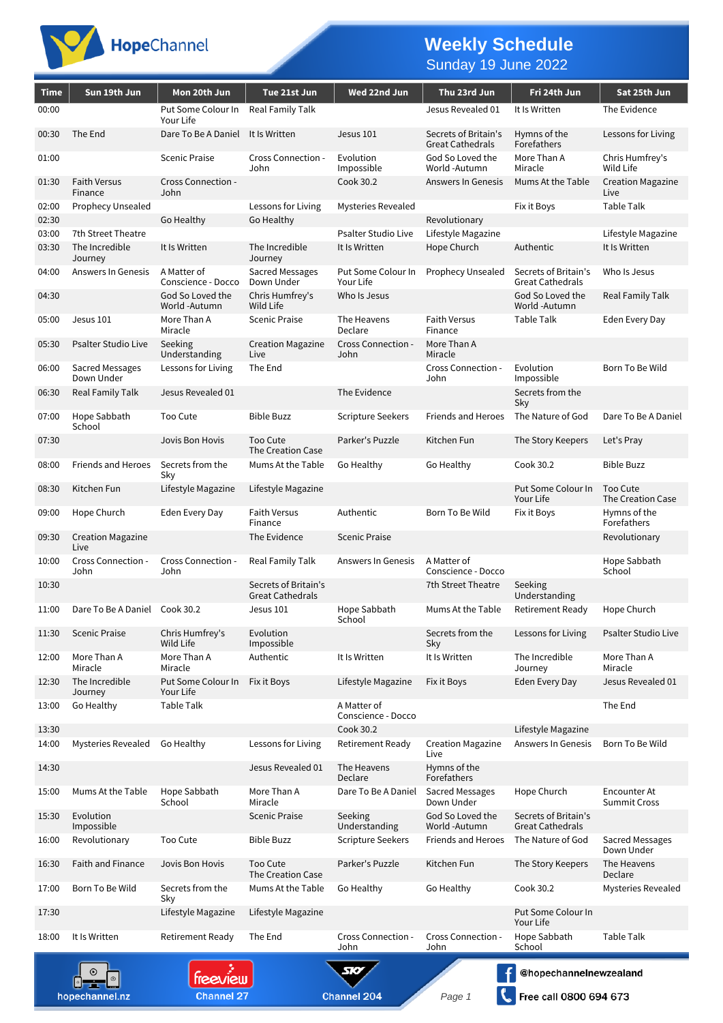

## **Weekly Schedule**

Sunday 19 June 2022

| Time           | Sun 19th Jun                     | Mon 20th Jun                      | Tue 21st Jun                                    | Wed 22nd Jun                      | Thu 23rd Jun                                    | Fri 24th Jun                                    | Sat 25th Jun                        |
|----------------|----------------------------------|-----------------------------------|-------------------------------------------------|-----------------------------------|-------------------------------------------------|-------------------------------------------------|-------------------------------------|
| 00:00          |                                  | Put Some Colour In<br>Your Life   | Real Family Talk                                |                                   | Jesus Revealed 01                               | It Is Written                                   | The Evidence                        |
| 00:30          | The End                          | Dare To Be A Daniel               | It Is Written                                   | Jesus 101                         | Secrets of Britain's<br><b>Great Cathedrals</b> | Hymns of the<br>Forefathers                     | Lessons for Living                  |
| 01:00          |                                  | <b>Scenic Praise</b>              | Cross Connection -<br>John                      | Evolution<br>Impossible           | God So Loved the<br>World -Autumn               | More Than A<br>Miracle                          | Chris Humfrey's<br>Wild Life        |
| 01:30          | <b>Faith Versus</b><br>Finance   | Cross Connection -<br>John        |                                                 | Cook 30.2                         | Answers In Genesis                              | Mums At the Table                               | <b>Creation Magazine</b><br>Live    |
| 02:00<br>02:30 | Prophecy Unsealed                | Go Healthy                        | Lessons for Living<br>Go Healthy                | <b>Mysteries Revealed</b>         | Revolutionary                                   | Fix it Boys                                     | Table Talk                          |
| 03:00          | 7th Street Theatre               |                                   |                                                 | <b>Psalter Studio Live</b>        | Lifestyle Magazine                              |                                                 | Lifestyle Magazine                  |
| 03:30          | The Incredible<br>Journey        | It Is Written                     | The Incredible<br>Journey                       | It Is Written                     | Hope Church                                     | Authentic                                       | It Is Written                       |
| 04:00          | Answers In Genesis               | A Matter of<br>Conscience - Docco | Sacred Messages<br>Down Under                   | Put Some Colour In<br>Your Life   | Prophecy Unsealed                               | Secrets of Britain's<br><b>Great Cathedrals</b> | Who Is Jesus                        |
| 04:30          |                                  | God So Loved the<br>World -Autumn | Chris Humfrey's<br>Wild Life                    | Who Is Jesus                      |                                                 | God So Loved the<br>World -Autumn               | Real Family Talk                    |
| 05:00          | Jesus 101                        | More Than A<br>Miracle            | <b>Scenic Praise</b>                            | The Heavens<br>Declare            | <b>Faith Versus</b><br>Finance                  | <b>Table Talk</b>                               | Eden Every Day                      |
| 05:30          | <b>Psalter Studio Live</b>       | Seeking<br>Understanding          | <b>Creation Magazine</b><br>Live                | Cross Connection -<br>John        | More Than A<br>Miracle                          |                                                 |                                     |
| 06:00          | Sacred Messages<br>Down Under    | Lessons for Living                | The End                                         |                                   | Cross Connection -<br>John                      | Evolution<br>Impossible                         | Born To Be Wild                     |
| 06:30          | Real Family Talk                 | Jesus Revealed 01                 |                                                 | The Evidence                      |                                                 | Secrets from the<br>Sky                         |                                     |
| 07:00          | Hope Sabbath<br>School           | Too Cute                          | <b>Bible Buzz</b>                               | Scripture Seekers                 | <b>Friends and Heroes</b>                       | The Nature of God                               | Dare To Be A Daniel                 |
| 07:30          |                                  | Jovis Bon Hovis                   | Too Cute<br>The Creation Case                   | Parker's Puzzle                   | Kitchen Fun                                     | The Story Keepers                               | Let's Pray                          |
| 08:00          | Friends and Heroes               | Secrets from the<br>Sky           | Mums At the Table                               | Go Healthy                        | Go Healthy                                      | Cook 30.2                                       | <b>Bible Buzz</b>                   |
| 08:30          | Kitchen Fun                      | Lifestyle Magazine                | Lifestyle Magazine                              |                                   |                                                 | Put Some Colour In<br>Your Life                 | Too Cute<br>The Creation Case       |
| 09:00          | Hope Church                      | Eden Every Day                    | <b>Faith Versus</b><br>Finance                  | Authentic                         | Born To Be Wild                                 | Fix it Boys                                     | Hymns of the<br>Forefathers         |
| 09:30          | <b>Creation Magazine</b><br>Live |                                   | The Evidence                                    | <b>Scenic Praise</b>              |                                                 |                                                 | Revolutionary                       |
| 10:00          | Cross Connection -<br>John       | Cross Connection -<br>John        | Real Family Talk                                | Answers In Genesis                | A Matter of<br>Conscience - Docco               |                                                 | Hope Sabbath<br>School              |
| 10:30          |                                  |                                   | Secrets of Britain's<br><b>Great Cathedrals</b> |                                   | 7th Street Theatre                              | Seeking<br>Understanding                        |                                     |
| 11:00          | Dare To Be A Daniel Cook 30.2    |                                   | Jesus 101                                       | Hope Sabbath<br>School            | Mums At the Table                               | Retirement Ready                                | Hope Church                         |
| 11:30          | <b>Scenic Praise</b>             | Chris Humfrey's<br>Wild Life      | Evolution<br>Impossible                         |                                   | Secrets from the<br>Sky                         | Lessons for Living                              | <b>Psalter Studio Live</b>          |
| 12:00          | More Than A<br>Miracle           | More Than A<br>Miracle            | Authentic                                       | It Is Written                     | It Is Written                                   | The Incredible<br>Journey                       | More Than A<br>Miracle              |
| 12:30          | The Incredible<br>Journey        | Put Some Colour In<br>Your Life   | Fix it Boys                                     | Lifestyle Magazine                | Fix it Boys                                     | Eden Every Day                                  | Jesus Revealed 01                   |
| 13:00          | Go Healthy                       | Table Talk                        |                                                 | A Matter of<br>Conscience - Docco |                                                 |                                                 | The End                             |
| 13:30          |                                  |                                   |                                                 | Cook 30.2                         |                                                 | Lifestyle Magazine                              |                                     |
| 14:00          | Mysteries Revealed               | Go Healthy                        | Lessons for Living                              | <b>Retirement Ready</b>           | <b>Creation Magazine</b><br>Live                | Answers In Genesis                              | Born To Be Wild                     |
| 14:30          |                                  |                                   | Jesus Revealed 01                               | The Heavens<br>Declare            | Hymns of the<br>Forefathers                     |                                                 |                                     |
| 15:00          | Mums At the Table                | Hope Sabbath<br>School            | More Than A<br>Miracle                          | Dare To Be A Daniel               | Sacred Messages<br>Down Under                   | Hope Church                                     | Encounter At<br><b>Summit Cross</b> |
| 15:30          | Evolution<br>Impossible          |                                   | <b>Scenic Praise</b>                            | Seeking<br>Understanding          | God So Loved the<br>World -Autumn               | Secrets of Britain's<br><b>Great Cathedrals</b> |                                     |
| 16:00          | Revolutionary                    | Too Cute                          | <b>Bible Buzz</b>                               | <b>Scripture Seekers</b>          | <b>Friends and Heroes</b>                       | The Nature of God                               | Sacred Messages<br>Down Under       |
| 16:30          | Faith and Finance                | Jovis Bon Hovis                   | Too Cute<br>The Creation Case                   | Parker's Puzzle                   | Kitchen Fun                                     | The Story Keepers                               | The Heavens<br>Declare              |
| 17:00          | Born To Be Wild                  | Secrets from the<br>Sky           | Mums At the Table                               | Go Healthy                        | Go Healthy                                      | Cook 30.2                                       | Mysteries Revealed                  |
| 17:30          |                                  | Lifestyle Magazine                | Lifestyle Magazine                              |                                   |                                                 | Put Some Colour In<br>Your Life                 |                                     |
| 18:00          | It Is Written                    | <b>Retirement Ready</b>           | The End                                         | Cross Connection -<br>John        | Cross Connection -<br>John                      | Hope Sabbath<br>School                          | <b>Table Talk</b>                   |
|                |                                  | treeview                          |                                                 | 50                                |                                                 | @hopechannelnewzealand                          |                                     |
|                | hopechannel.nz                   | <b>Channel 27</b>                 |                                                 | Channel 204                       | Page 1                                          | Free call 0800 694 673                          |                                     |